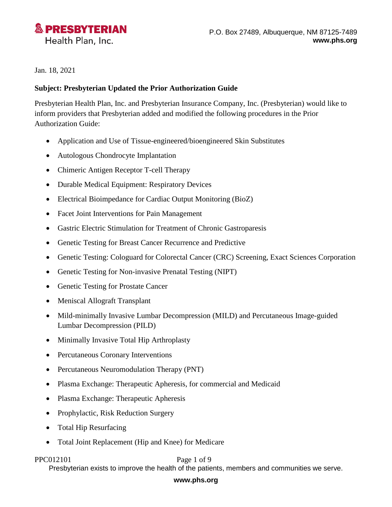

Jan. 18, 2021

## **Subject: Presbyterian Updated the Prior Authorization Guide**

Presbyterian Health Plan, Inc. and Presbyterian Insurance Company, Inc. (Presbyterian) would like to inform providers that Presbyterian added and modified the following procedures in the Prior Authorization Guide:

- Application and Use of Tissue-engineered/bioengineered Skin Substitutes
- Autologous Chondrocyte Implantation
- Chimeric Antigen Receptor T-cell Therapy
- Durable Medical Equipment: Respiratory Devices
- Electrical Bioimpedance for Cardiac Output Monitoring (BioZ)
- Facet Joint Interventions for Pain Management
- Gastric Electric Stimulation for Treatment of Chronic Gastroparesis
- Genetic Testing for Breast Cancer Recurrence and Predictive
- Genetic Testing: Cologuard for Colorectal Cancer (CRC) Screening, Exact Sciences Corporation
- Genetic Testing for Non-invasive Prenatal Testing (NIPT)
- Genetic Testing for Prostate Cancer
- Meniscal Allograft Transplant
- Mild-minimally Invasive Lumbar Decompression (MILD) and Percutaneous Image-guided Lumbar Decompression (PILD)
- Minimally Invasive Total Hip Arthroplasty
- Percutaneous Coronary Interventions
- Percutaneous Neuromodulation Therapy (PNT)
- Plasma Exchange: Therapeutic Apheresis, for commercial and Medicaid
- Plasma Exchange: Therapeutic Apheresis
- Prophylactic, Risk Reduction Surgery
- Total Hip Resurfacing
- Total Joint Replacement (Hip and Knee) for Medicare

### PPC012101 Page 1 of 9

Presbyterian exists to improve the health of the patients, members and communities we serve.

### **www.phs.org**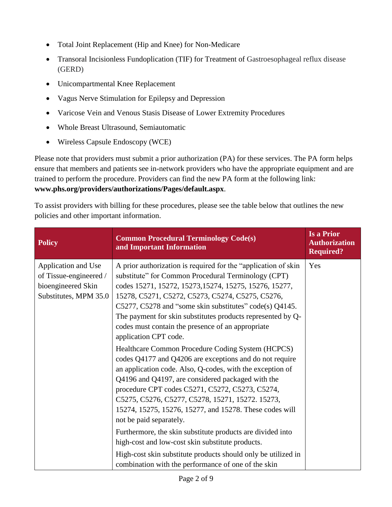- Total Joint Replacement (Hip and Knee) for Non-Medicare
- Transoral Incisionless Fundoplication (TIF) for Treatment of Gastroesophageal reflux disease (GERD)
- Unicompartmental Knee Replacement
- Vagus Nerve Stimulation for Epilepsy and Depression
- Varicose Vein and Venous Stasis Disease of Lower Extremity Procedures
- Whole Breast Ultrasound, Semiautomatic
- Wireless Capsule Endoscopy (WCE)

Please note that providers must submit a prior authorization (PA) for these services. The PA form helps ensure that members and patients see in-network providers who have the appropriate equipment and are trained to perform the procedure. Providers can find the new PA form at the following link: **[www.phs.org/providers/authorizations/Pages/default.aspx](http://www.phs.org/providers/authorizations/Pages/default.aspx)**.

To assist providers with billing for these procedures, please see the table below that outlines the new policies and other important information.

| <b>Policy</b>                                                                                | <b>Common Procedural Terminology Code(s)</b><br>and Important Information                                                                                                                                                                                                                                                                                                                                                                      | <b>Is a Prior</b><br><b>Authorization</b><br><b>Required?</b> |
|----------------------------------------------------------------------------------------------|------------------------------------------------------------------------------------------------------------------------------------------------------------------------------------------------------------------------------------------------------------------------------------------------------------------------------------------------------------------------------------------------------------------------------------------------|---------------------------------------------------------------|
| Application and Use<br>of Tissue-engineered /<br>bioengineered Skin<br>Substitutes, MPM 35.0 | A prior authorization is required for the "application of skin<br>substitute" for Common Procedural Terminology (CPT)<br>codes 15271, 15272, 15273, 15274, 15275, 15276, 15277,<br>15278, C5271, C5272, C5273, C5274, C5275, C5276,<br>C5277, C5278 and "some skin substitutes" code(s) $Q4145$ .<br>The payment for skin substitutes products represented by Q-<br>codes must contain the presence of an appropriate<br>application CPT code. | Yes                                                           |
|                                                                                              | Healthcare Common Procedure Coding System (HCPCS)<br>codes Q4177 and Q4206 are exceptions and do not require<br>an application code. Also, Q-codes, with the exception of<br>Q4196 and Q4197, are considered packaged with the<br>procedure CPT codes C5271, C5272, C5273, C5274,<br>C5275, C5276, C5277, C5278, 15271, 15272. 15273,<br>15274, 15275, 15276, 15277, and 15278. These codes will<br>not be paid separately.                    |                                                               |
|                                                                                              | Furthermore, the skin substitute products are divided into<br>high-cost and low-cost skin substitute products.<br>High-cost skin substitute products should only be utilized in<br>combination with the performance of one of the skin                                                                                                                                                                                                         |                                                               |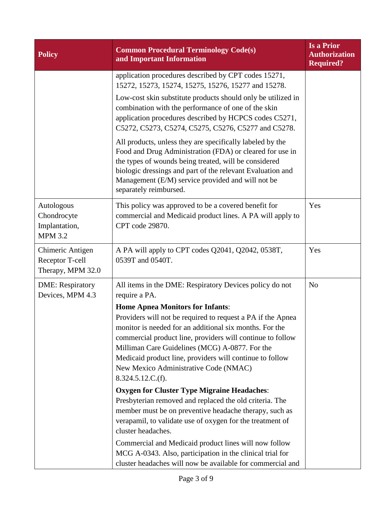| <b>Policy</b>                                                | <b>Common Procedural Terminology Code(s)</b><br>and Important Information                                                                                                                                                                                                                                                                                                                                   | Is a Prior<br><b>Authorization</b><br><b>Required?</b> |
|--------------------------------------------------------------|-------------------------------------------------------------------------------------------------------------------------------------------------------------------------------------------------------------------------------------------------------------------------------------------------------------------------------------------------------------------------------------------------------------|--------------------------------------------------------|
|                                                              | application procedures described by CPT codes 15271,<br>15272, 15273, 15274, 15275, 15276, 15277 and 15278.                                                                                                                                                                                                                                                                                                 |                                                        |
|                                                              | Low-cost skin substitute products should only be utilized in<br>combination with the performance of one of the skin<br>application procedures described by HCPCS codes C5271,<br>C5272, C5273, C5274, C5275, C5276, C5277 and C5278.                                                                                                                                                                        |                                                        |
|                                                              | All products, unless they are specifically labeled by the<br>Food and Drug Administration (FDA) or cleared for use in<br>the types of wounds being treated, will be considered<br>biologic dressings and part of the relevant Evaluation and<br>Management (E/M) service provided and will not be<br>separately reimbursed.                                                                                 |                                                        |
| Autologous<br>Chondrocyte<br>Implantation,<br><b>MPM 3.2</b> | This policy was approved to be a covered benefit for<br>commercial and Medicaid product lines. A PA will apply to<br>CPT code 29870.                                                                                                                                                                                                                                                                        | Yes                                                    |
| Chimeric Antigen<br>Receptor T-cell<br>Therapy, MPM 32.0     | A PA will apply to CPT codes Q2041, Q2042, 0538T,<br>0539T and 0540T.                                                                                                                                                                                                                                                                                                                                       | Yes                                                    |
| <b>DME</b> : Respiratory<br>Devices, MPM 4.3                 | All items in the DME: Respiratory Devices policy do not<br>require a PA.                                                                                                                                                                                                                                                                                                                                    | N <sub>o</sub>                                         |
|                                                              | <b>Home Apnea Monitors for Infants:</b><br>Providers will not be required to request a PA if the Apnea<br>monitor is needed for an additional six months. For the<br>commercial product line, providers will continue to follow<br>Milliman Care Guidelines (MCG) A-0877. For the<br>Medicaid product line, providers will continue to follow<br>New Mexico Administrative Code (NMAC)<br>8.324.5.12.C.(f). |                                                        |
|                                                              | <b>Oxygen for Cluster Type Migraine Headaches:</b>                                                                                                                                                                                                                                                                                                                                                          |                                                        |
|                                                              | Presbyterian removed and replaced the old criteria. The<br>member must be on preventive headache therapy, such as<br>verapamil, to validate use of oxygen for the treatment of<br>cluster headaches.                                                                                                                                                                                                        |                                                        |
|                                                              | Commercial and Medicaid product lines will now follow<br>MCG A-0343. Also, participation in the clinical trial for<br>cluster headaches will now be available for commercial and                                                                                                                                                                                                                            |                                                        |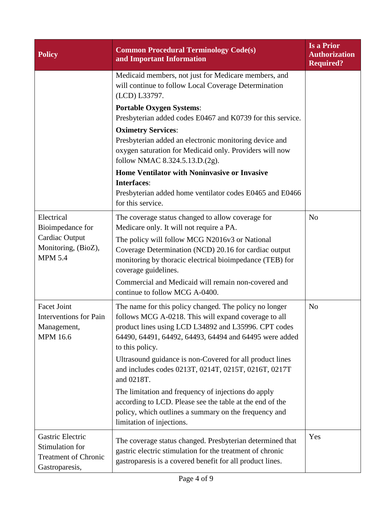| <b>Policy</b>                                                                        | <b>Common Procedural Terminology Code(s)</b><br>and Important Information                                                                                                                                                                           | <b>Is a Prior</b><br><b>Authorization</b><br><b>Required?</b> |
|--------------------------------------------------------------------------------------|-----------------------------------------------------------------------------------------------------------------------------------------------------------------------------------------------------------------------------------------------------|---------------------------------------------------------------|
|                                                                                      | Medicaid members, not just for Medicare members, and<br>will continue to follow Local Coverage Determination<br>(LCD) L33797.                                                                                                                       |                                                               |
|                                                                                      | <b>Portable Oxygen Systems:</b><br>Presbyterian added codes E0467 and K0739 for this service.                                                                                                                                                       |                                                               |
|                                                                                      | <b>Oximetry Services:</b><br>Presbyterian added an electronic monitoring device and<br>oxygen saturation for Medicaid only. Providers will now<br>follow NMAC 8.324.5.13.D.(2g).                                                                    |                                                               |
|                                                                                      | <b>Home Ventilator with Noninvasive or Invasive</b><br><b>Interfaces:</b><br>Presbyterian added home ventilator codes E0465 and E0466<br>for this service.                                                                                          |                                                               |
| Electrical<br>Bioimpedance for                                                       | The coverage status changed to allow coverage for<br>Medicare only. It will not require a PA.                                                                                                                                                       | N <sub>o</sub>                                                |
| Cardiac Output<br>Monitoring, (BioZ),<br><b>MPM 5.4</b>                              | The policy will follow MCG N2016v3 or National<br>Coverage Determination (NCD) 20.16 for cardiac output<br>monitoring by thoracic electrical bioimpedance (TEB) for<br>coverage guidelines.                                                         |                                                               |
|                                                                                      | Commercial and Medicaid will remain non-covered and<br>continue to follow MCG A-0400.                                                                                                                                                               |                                                               |
| Facet Joint<br><b>Interventions</b> for Pain<br>Management,<br><b>MPM 16.6</b>       | The name for this policy changed. The policy no longer<br>follows MCG A-0218. This will expand coverage to all<br>product lines using LCD L34892 and L35996. CPT codes<br>64490, 64491, 64492, 64493, 64494 and 64495 were added<br>to this policy. | N <sub>o</sub>                                                |
|                                                                                      | Ultrasound guidance is non-Covered for all product lines<br>and includes codes 0213T, 0214T, 0215T, 0216T, 0217T<br>and 0218T.                                                                                                                      |                                                               |
|                                                                                      | The limitation and frequency of injections do apply<br>according to LCD. Please see the table at the end of the<br>policy, which outlines a summary on the frequency and<br>limitation of injections.                                               |                                                               |
| Gastric Electric<br>Stimulation for<br><b>Treatment of Chronic</b><br>Gastroparesis, | The coverage status changed. Presbyterian determined that<br>gastric electric stimulation for the treatment of chronic<br>gastroparesis is a covered benefit for all product lines.                                                                 | Yes                                                           |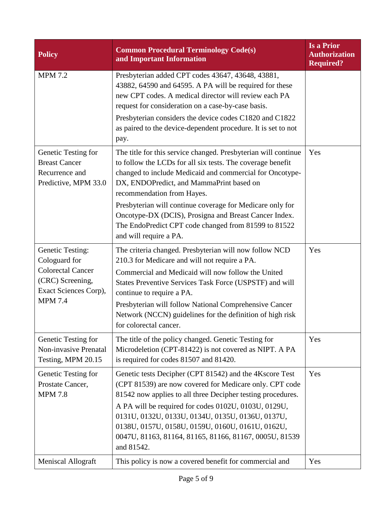| <b>Policy</b>                                                                                                                       | <b>Common Procedural Terminology Code(s)</b><br>and Important Information                                                                                                                                                                                                                                                                                                                                                                                                  | Is a Prior<br><b>Authorization</b><br><b>Required?</b> |
|-------------------------------------------------------------------------------------------------------------------------------------|----------------------------------------------------------------------------------------------------------------------------------------------------------------------------------------------------------------------------------------------------------------------------------------------------------------------------------------------------------------------------------------------------------------------------------------------------------------------------|--------------------------------------------------------|
| <b>MPM 7.2</b>                                                                                                                      | Presbyterian added CPT codes 43647, 43648, 43881,<br>43882, 64590 and 64595. A PA will be required for these<br>new CPT codes. A medical director will review each PA<br>request for consideration on a case-by-case basis.<br>Presbyterian considers the device codes C1820 and C1822<br>as paired to the device-dependent procedure. It is set to not<br>pay.                                                                                                            |                                                        |
| Genetic Testing for<br><b>Breast Cancer</b><br>Recurrence and<br>Predictive, MPM 33.0                                               | The title for this service changed. Presbyterian will continue<br>to follow the LCDs for all six tests. The coverage benefit<br>changed to include Medicaid and commercial for Oncotype-<br>DX, ENDOPredict, and MammaPrint based on<br>recommendation from Hayes.<br>Presbyterian will continue coverage for Medicare only for<br>Oncotype-DX (DCIS), Prosigna and Breast Cancer Index.<br>The EndoPredict CPT code changed from 81599 to 81522<br>and will require a PA. | Yes                                                    |
| <b>Genetic Testing:</b><br>Cologuard for<br><b>Colorectal Cancer</b><br>(CRC) Screening,<br>Exact Sciences Corp),<br><b>MPM 7.4</b> | The criteria changed. Presbyterian will now follow NCD<br>210.3 for Medicare and will not require a PA.<br>Commercial and Medicaid will now follow the United<br>States Preventive Services Task Force (USPSTF) and will<br>continue to require a PA.<br>Presbyterian will follow National Comprehensive Cancer<br>Network (NCCN) guidelines for the definition of high risk<br>for colorectal cancer.                                                                     | Yes                                                    |
| Genetic Testing for<br>Non-invasive Prenatal<br>Testing, MPM 20.15                                                                  | The title of the policy changed. Genetic Testing for<br>Microdeletion (CPT-81422) is not covered as NIPT. A PA<br>is required for codes 81507 and 81420.                                                                                                                                                                                                                                                                                                                   | Yes                                                    |
| Genetic Testing for<br>Prostate Cancer,<br><b>MPM 7.8</b>                                                                           | Genetic tests Decipher (CPT 81542) and the 4Kscore Test<br>(CPT 81539) are now covered for Medicare only. CPT code<br>81542 now applies to all three Decipher testing procedures.<br>A PA will be required for codes 0102U, 0103U, 0129U,<br>0131U, 0132U, 0133U, 0134U, 0135U, 0136U, 0137U,<br>0138U, 0157U, 0158U, 0159U, 0160U, 0161U, 0162U,<br>0047U, 81163, 81164, 81165, 81166, 81167, 0005U, 81539<br>and 81542.                                                  | Yes                                                    |
| <b>Meniscal Allograft</b>                                                                                                           | This policy is now a covered benefit for commercial and                                                                                                                                                                                                                                                                                                                                                                                                                    | Yes                                                    |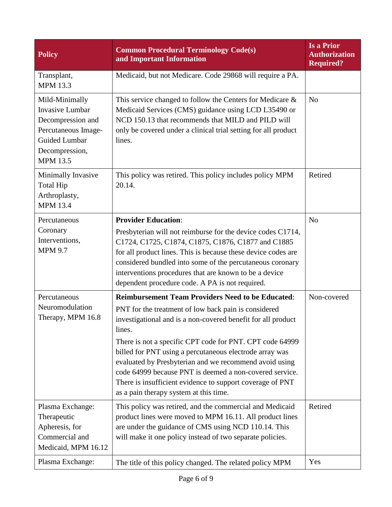| <b>Policy</b>                                                                                                                              | <b>Common Procedural Terminology Code(s)</b><br>and Important Information                                                                                                                                                                                                                                                                                                                                                                                                                                                                     | <b>Is a Prior</b><br><b>Authorization</b><br><b>Required?</b> |
|--------------------------------------------------------------------------------------------------------------------------------------------|-----------------------------------------------------------------------------------------------------------------------------------------------------------------------------------------------------------------------------------------------------------------------------------------------------------------------------------------------------------------------------------------------------------------------------------------------------------------------------------------------------------------------------------------------|---------------------------------------------------------------|
| Transplant,<br><b>MPM 13.3</b>                                                                                                             | Medicaid, but not Medicare. Code 29868 will require a PA.                                                                                                                                                                                                                                                                                                                                                                                                                                                                                     |                                                               |
| Mild-Minimally<br><b>Invasive Lumbar</b><br>Decompression and<br>Percutaneous Image-<br>Guided Lumbar<br>Decompression,<br><b>MPM 13.5</b> | This service changed to follow the Centers for Medicare $\&$<br>Medicaid Services (CMS) guidance using LCD L35490 or<br>NCD 150.13 that recommends that MILD and PILD will<br>only be covered under a clinical trial setting for all product<br>lines.                                                                                                                                                                                                                                                                                        | N <sub>o</sub>                                                |
| Minimally Invasive<br><b>Total Hip</b><br>Arthroplasty,<br><b>MPM 13.4</b>                                                                 | This policy was retired. This policy includes policy MPM<br>20.14.                                                                                                                                                                                                                                                                                                                                                                                                                                                                            | Retired                                                       |
| Percutaneous<br>Coronary<br>Interventions,<br><b>MPM 9.7</b>                                                                               | <b>Provider Education:</b><br>Presbyterian will not reimburse for the device codes C1714,<br>C1724, C1725, C1874, C1875, C1876, C1877 and C1885<br>for all product lines. This is because these device codes are<br>considered bundled into some of the percutaneous coronary<br>interventions procedures that are known to be a device<br>dependent procedure code. A PA is not required.                                                                                                                                                    | N <sub>o</sub>                                                |
| Percutaneous<br>Neuromodulation<br>Therapy, MPM 16.8                                                                                       | <b>Reimbursement Team Providers Need to be Educated:</b><br>PNT for the treatment of low back pain is considered<br>investigational and is a non-covered benefit for all product<br>lines.<br>There is not a specific CPT code for PNT. CPT code 64999<br>billed for PNT using a percutaneous electrode array was<br>evaluated by Presbyterian and we recommend avoid using<br>code 64999 because PNT is deemed a non-covered service.<br>There is insufficient evidence to support coverage of PNT<br>as a pain therapy system at this time. | Non-covered                                                   |
| Plasma Exchange:<br>Therapeutic<br>Apheresis, for<br>Commercial and<br>Medicaid, MPM 16.12                                                 | This policy was retired, and the commercial and Medicaid<br>product lines were moved to MPM 16.11. All product lines<br>are under the guidance of CMS using NCD 110.14. This<br>will make it one policy instead of two separate policies.                                                                                                                                                                                                                                                                                                     | Retired                                                       |
| Plasma Exchange:                                                                                                                           | The title of this policy changed. The related policy MPM                                                                                                                                                                                                                                                                                                                                                                                                                                                                                      | Yes                                                           |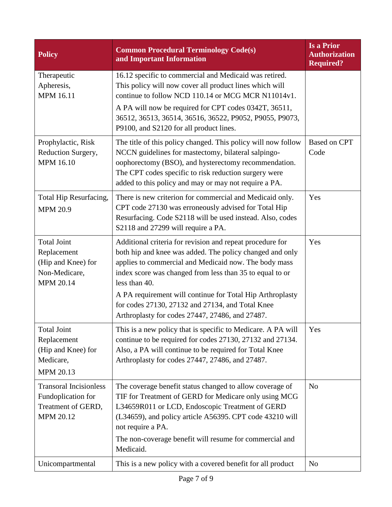| <b>Policy</b>                                                                                | <b>Common Procedural Terminology Code(s)</b><br>and Important Information                                                                                                                                                                                                                                                                                                    | <b>Is a Prior</b><br><b>Authorization</b><br><b>Required?</b> |
|----------------------------------------------------------------------------------------------|------------------------------------------------------------------------------------------------------------------------------------------------------------------------------------------------------------------------------------------------------------------------------------------------------------------------------------------------------------------------------|---------------------------------------------------------------|
| Therapeutic<br>Apheresis,<br><b>MPM 16.11</b>                                                | 16.12 specific to commercial and Medicaid was retired.<br>This policy will now cover all product lines which will<br>continue to follow NCD 110.14 or MCG MCR N11014v1.<br>A PA will now be required for CPT codes 0342T, 36511,<br>36512, 36513, 36514, 36516, 36522, P9052, P9055, P9073,<br>P9100, and S2120 for all product lines.                                       |                                                               |
| Prophylactic, Risk<br>Reduction Surgery,<br><b>MPM 16.10</b>                                 | The title of this policy changed. This policy will now follow<br>NCCN guidelines for mastectomy, bilateral salpingo-<br>oophorectomy (BSO), and hysterectomy recommendation.<br>The CPT codes specific to risk reduction surgery were<br>added to this policy and may or may not require a PA.                                                                               | <b>Based on CPT</b><br>Code                                   |
| Total Hip Resurfacing,<br><b>MPM 20.9</b>                                                    | There is new criterion for commercial and Medicaid only.<br>CPT code 27130 was erroneously advised for Total Hip<br>Resurfacing. Code S2118 will be used instead. Also, codes<br>S2118 and 27299 will require a PA.                                                                                                                                                          | Yes                                                           |
| <b>Total Joint</b><br>Replacement<br>(Hip and Knee) for<br>Non-Medicare,<br><b>MPM 20.14</b> | Additional criteria for revision and repeat procedure for<br>both hip and knee was added. The policy changed and only<br>applies to commercial and Medicaid now. The body mass<br>index score was changed from less than 35 to equal to or<br>less than 40.<br>A PA requirement will continue for Total Hip Arthroplasty<br>for codes 27130, 27132 and 27134, and Total Knee | Yes                                                           |
| <b>Total Joint</b><br>Replacement<br>(Hip and Knee) for<br>Medicare,<br>MPM 20.13            | Arthroplasty for codes 27447, 27486, and 27487.<br>This is a new policy that is specific to Medicare. A PA will<br>continue to be required for codes 27130, 27132 and 27134.<br>Also, a PA will continue to be required for Total Knee<br>Arthroplasty for codes 27447, 27486, and 27487.                                                                                    | Yes                                                           |
| <b>Transoral Incisionless</b><br>Fundoplication for<br>Treatment of GERD,<br>MPM 20.12       | The coverage benefit status changed to allow coverage of<br>TIF for Treatment of GERD for Medicare only using MCG<br>L34659R011 or LCD, Endoscopic Treatment of GERD<br>(L34659), and policy article A56395. CPT code 43210 will<br>not require a PA.<br>The non-coverage benefit will resume for commercial and<br>Medicaid.                                                | N <sub>o</sub>                                                |
| Unicompartmental                                                                             | This is a new policy with a covered benefit for all product                                                                                                                                                                                                                                                                                                                  | N <sub>o</sub>                                                |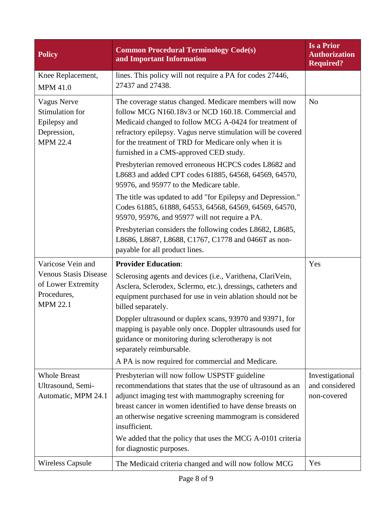| <b>Policy</b>                                                                           | <b>Common Procedural Terminology Code(s)</b><br>and Important Information                                                                                                                                                                                                                                                                 | <b>Is a Prior</b><br><b>Authorization</b><br><b>Required?</b> |
|-----------------------------------------------------------------------------------------|-------------------------------------------------------------------------------------------------------------------------------------------------------------------------------------------------------------------------------------------------------------------------------------------------------------------------------------------|---------------------------------------------------------------|
| Knee Replacement,<br><b>MPM 41.0</b>                                                    | lines. This policy will not require a PA for codes 27446,<br>27437 and 27438.                                                                                                                                                                                                                                                             |                                                               |
| <b>Vagus Nerve</b><br>Stimulation for<br>Epilepsy and<br>Depression,<br><b>MPM 22.4</b> | The coverage status changed. Medicare members will now<br>follow MCG N160.18v3 or NCD 160.18. Commercial and<br>Medicaid changed to follow MCG A-0424 for treatment of<br>refractory epilepsy. Vagus nerve stimulation will be covered<br>for the treatment of TRD for Medicare only when it is<br>furnished in a CMS-approved CED study. | N <sub>o</sub>                                                |
|                                                                                         | Presbyterian removed erroneous HCPCS codes L8682 and<br>L8683 and added CPT codes 61885, 64568, 64569, 64570,<br>95976, and 95977 to the Medicare table.                                                                                                                                                                                  |                                                               |
|                                                                                         | The title was updated to add "for Epilepsy and Depression."<br>Codes 61885, 61888, 64553, 64568, 64569, 64569, 64570,<br>95970, 95976, and 95977 will not require a PA.                                                                                                                                                                   |                                                               |
|                                                                                         | Presbyterian considers the following codes L8682, L8685,<br>L8686, L8687, L8688, C1767, C1778 and 0466T as non-<br>payable for all product lines.                                                                                                                                                                                         |                                                               |
| Varicose Vein and                                                                       | <b>Provider Education:</b>                                                                                                                                                                                                                                                                                                                | Yes                                                           |
| <b>Venous Stasis Disease</b><br>of Lower Extremity<br>Procedures,<br><b>MPM 22.1</b>    | Sclerosing agents and devices (i.e., Varithena, ClariVein,<br>Asclera, Sclerodex, Sclermo, etc.), dressings, catheters and<br>equipment purchased for use in vein ablation should not be<br>billed separately.                                                                                                                            |                                                               |
|                                                                                         | Doppler ultrasound or duplex scans, 93970 and 93971, for<br>mapping is payable only once. Doppler ultrasounds used for<br>guidance or monitoring during sclerotherapy is not<br>separately reimbursable.                                                                                                                                  |                                                               |
|                                                                                         | A PA is now required for commercial and Medicare.                                                                                                                                                                                                                                                                                         |                                                               |
| <b>Whole Breast</b><br>Ultrasound, Semi-<br>Automatic, MPM 24.1                         | Presbyterian will now follow USPSTF guideline<br>recommendations that states that the use of ultrasound as an<br>adjunct imaging test with mammography screening for<br>breast cancer in women identified to have dense breasts on<br>an otherwise negative screening mammogram is considered<br>insufficient.                            | Investigational<br>and considered<br>non-covered              |
|                                                                                         | We added that the policy that uses the MCG A-0101 criteria<br>for diagnostic purposes.                                                                                                                                                                                                                                                    |                                                               |
| <b>Wireless Capsule</b>                                                                 | The Medicaid criteria changed and will now follow MCG                                                                                                                                                                                                                                                                                     | Yes                                                           |